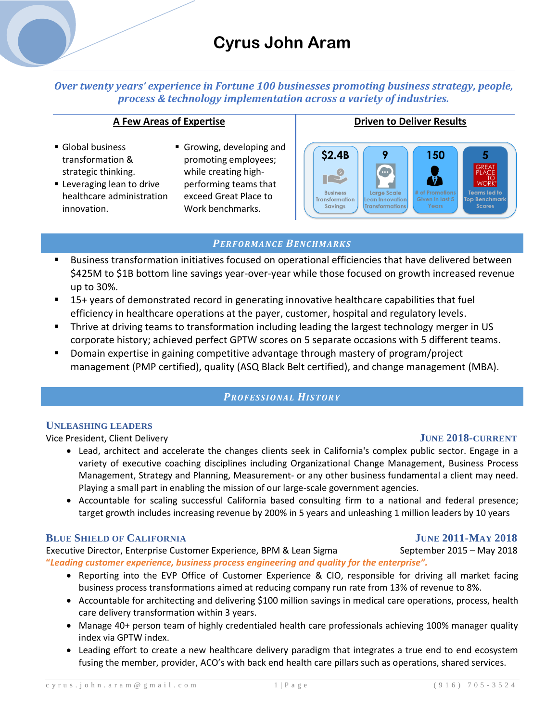# **Cyrus John Aram**

*Over twenty years' experience in Fortune 100 businesses promoting business strategy, people, process & technology implementation across a variety of industries.*

### **A Few Areas of Expertise**

- Global business transformation & strategic thinking.
- **Leveraging lean to drive** healthcare administration innovation.
- Growing, developing and promoting employees; while creating highperforming teams that exceed Great Place to Work benchmarks.





# *PER FORMA NC E BENCH MARKS*

- Business transformation initiatives focused on operational efficiencies that have delivered between \$425M to \$1B bottom line savings year-over-year while those focused on growth increased revenue up to 30%.
- 15+ years of demonstrated record in generating innovative healthcare capabilities that fuel efficiency in healthcare operations at the payer, customer, hospital and regulatory levels.
- Thrive at driving teams to transformation including leading the largest technology merger in US corporate history; achieved perfect GPTW scores on 5 separate occasions with 5 different teams.
- Domain expertise in gaining competitive advantage through mastery of program/project management (PMP certified), quality (ASQ Black Belt certified), and change management (MBA).

# *PROFESSI ONAL HIS TOR Y*

# **UNLEASHING LEADERS**

Vice President, Client Delivery **JUNE 2018-CURRENT**

- Lead, architect and accelerate the changes clients seek in California's complex public sector. Engage in a variety of executive coaching disciplines including Organizational Change Management, Business Process Management, Strategy and Planning, Measurement- or any other business fundamental a client may need. Playing a small part in enabling the mission of our large-scale government agencies.
- Accountable for scaling successful California based consulting firm to a national and federal presence; target growth includes increasing revenue by 200% in 5 years and unleashing 1 million leaders by 10 years

# **BLUE SHIELD OF CALIFORNIA JUNE 2011-MAY 2018**

Executive Director, Enterprise Customer Experience, BPM & Lean Sigma September 2015 – May 2018 **"***Leading customer experience, business process engineering and quality for the enterprise".*

- Reporting into the EVP Office of Customer Experience & CIO, responsible for driving all market facing business process transformations aimed at reducing company run rate from 13% of revenue to 8%.
- Accountable for architecting and delivering \$100 million savings in medical care operations, process, health care delivery transformation within 3 years.
- Manage 40+ person team of highly credentialed health care professionals achieving 100% manager quality index via GPTW index.
- Leading effort to create a new healthcare delivery paradigm that integrates a true end to end ecosystem fusing the member, provider, ACO's with back end health care pillars such as operations, shared services.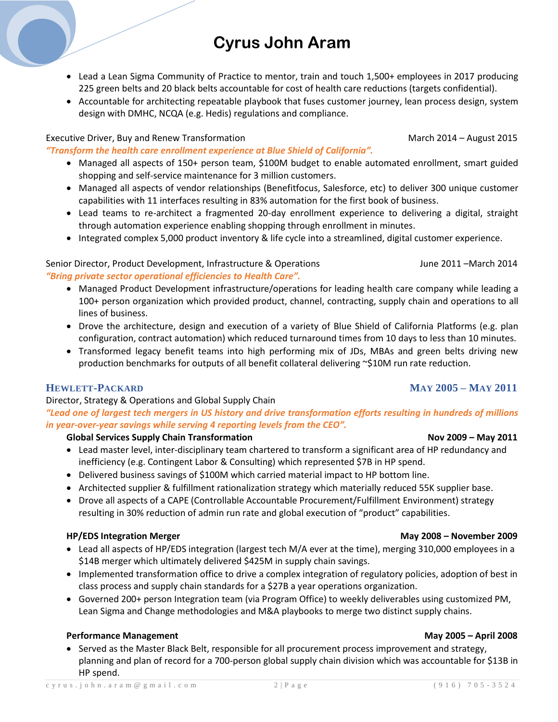# **Cyrus John Aram**

- Lead a Lean Sigma Community of Practice to mentor, train and touch 1,500+ employees in 2017 producing 225 green belts and 20 black belts accountable for cost of health care reductions (targets confidential).
- Accountable for architecting repeatable playbook that fuses customer journey, lean process design, system design with DMHC, NCQA (e.g. Hedis) regulations and compliance.

# Executive Driver, Buy and Renew Transformation and March 2014 – August 2015

*"Transform the health care enrollment experience at Blue Shield of California".*

- Managed all aspects of 150+ person team, \$100M budget to enable automated enrollment, smart guided shopping and self-service maintenance for 3 million customers.
- Managed all aspects of vendor relationships (Benefitfocus, Salesforce, etc) to deliver 300 unique customer capabilities with 11 interfaces resulting in 83% automation for the first book of business.
- Lead teams to re-architect a fragmented 20-day enrollment experience to delivering a digital, straight through automation experience enabling shopping through enrollment in minutes.
- Integrated complex 5,000 product inventory & life cycle into a streamlined, digital customer experience.

# Senior Director, Product Development, Infrastructure & Operations Fundell Mune 2011 – March 2014 *"Bring private sector operational efficiencies to Health Care".*

- Managed Product Development infrastructure/operations for leading health care company while leading a 100+ person organization which provided product, channel, contracting, supply chain and operations to all lines of business.
- Drove the architecture, design and execution of a variety of Blue Shield of California Platforms (e.g. plan configuration, contract automation) which reduced turnaround times from 10 days to less than 10 minutes.
- Transformed legacy benefit teams into high performing mix of JDs, MBAs and green belts driving new production benchmarks for outputs of all benefit collateral delivering ~\$10M run rate reduction.

# **HEWLETT-PACKARD MAY 2005 – MAY 2011**

# Director, Strategy & Operations and Global Supply Chain

*"Lead one of largest tech mergers in US history and drive transformation efforts resulting in hundreds of millions in year-over-year savings while serving 4 reporting levels from the CEO".*

# **Global Services Supply Chain Transformation Nov 2009 – May 2011**

- Lead master level, inter-disciplinary team chartered to transform a significant area of HP redundancy and inefficiency (e.g. Contingent Labor & Consulting) which represented \$7B in HP spend.
- Delivered business savings of \$100M which carried material impact to HP bottom line.
- Architected supplier & fulfillment rationalization strategy which materially reduced 55K supplier base.
- Drove all aspects of a CAPE (Controllable Accountable Procurement/Fulfillment Environment) strategy resulting in 30% reduction of admin run rate and global execution of "product" capabilities.

# **HP/EDS Integration Merger May 2008 – November 2009**

- Lead all aspects of HP/EDS integration (largest tech M/A ever at the time), merging 310,000 employees in a \$14B merger which ultimately delivered \$425M in supply chain savings.
- Implemented transformation office to drive a complex integration of regulatory policies, adoption of best in class process and supply chain standards for a \$27B a year operations organization.
- Governed 200+ person Integration team (via Program Office) to weekly deliverables using customized PM, Lean Sigma and Change methodologies and M&A playbooks to merge two distinct supply chains.

# **Performance Management May 2005 – April 2008**

• Served as the Master Black Belt, responsible for all procurement process improvement and strategy, planning and plan of record for a 700-person global supply chain division which was accountable for \$13B in HP spend.